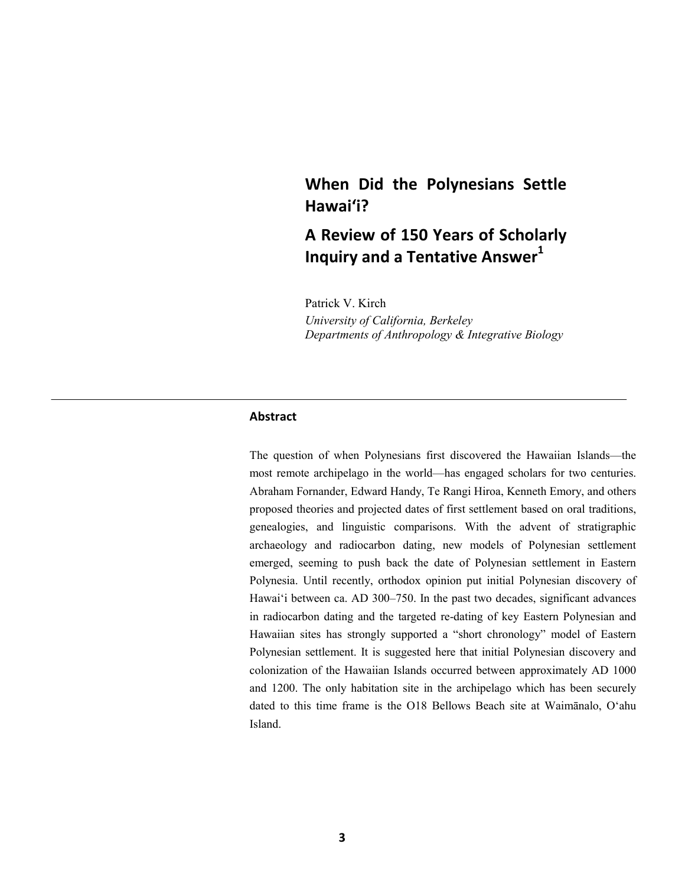# **When Did the Polynesians Settle Hawai'i?**

# **A Review of 150 Years of Scholarly Inquiry and a Tentative Answer**<sup>1</sup>

Patrick V. Kirch

*University of California, Berkeley Departments of Anthropology & Integrative Biology* 

### **Abstract**

The question of when Polynesians first discovered the Hawaiian Islands—the most remote archipelago in the world—has engaged scholars for two centuries. Abraham Fornander, Edward Handy, Te Rangi Hiroa, Kenneth Emory, and others proposed theories and projected dates of first settlement based on oral traditions, genealogies, and linguistic comparisons. With the advent of stratigraphic archaeology and radiocarbon dating, new models of Polynesian settlement emerged, seeming to push back the date of Polynesian settlement in Eastern Polynesia. Until recently, orthodox opinion put initial Polynesian discovery of Hawai'i between ca. AD 300–750. In the past two decades, significant advances in radiocarbon dating and the targeted re-dating of key Eastern Polynesian and Hawaiian sites has strongly supported a "short chronology" model of Eastern Polynesian settlement. It is suggested here that initial Polynesian discovery and colonization of the Hawaiian Islands occurred between approximately AD 1000 and 1200. The only habitation site in the archipelago which has been securely dated to this time frame is the O18 Bellows Beach site at Waimānalo, O'ahu Island.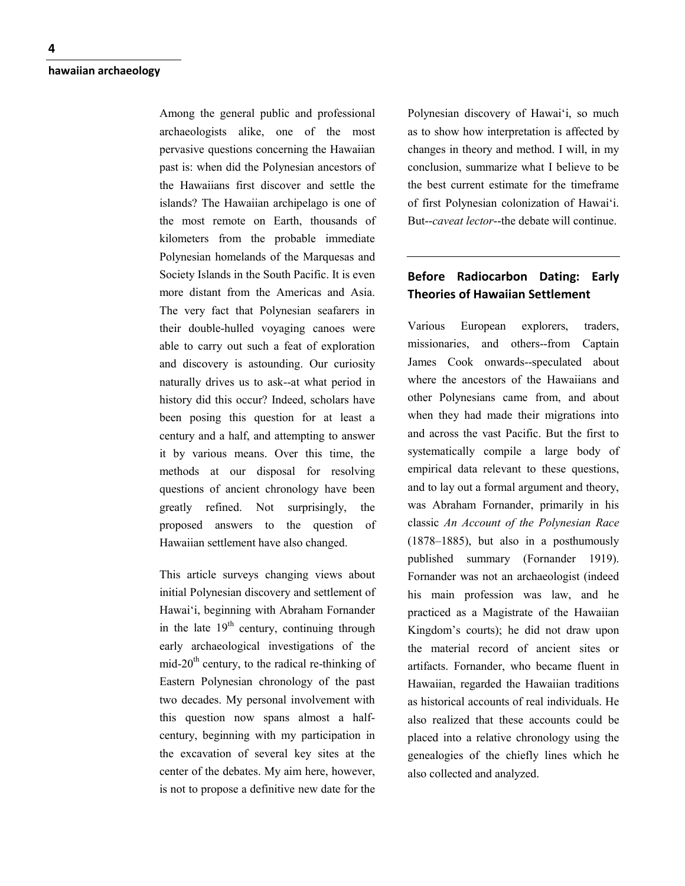Among the general public and professional archaeologists alike, one of the most pervasive questions concerning the Hawaiian past is: when did the Polynesian ancestors of the Hawaiians first discover and settle the islands? The Hawaiian archipelago is one of the most remote on Earth, thousands of kilometers from the probable immediate Polynesian homelands of the Marquesas and Society Islands in the South Pacific. It is even more distant from the Americas and Asia. The very fact that Polynesian seafarers in their double-hulled voyaging canoes were able to carry out such a feat of exploration and discovery is astounding. Our curiosity naturally drives us to ask--at what period in history did this occur? Indeed, scholars have been posing this question for at least a century and a half, and attempting to answer it by various means. Over this time, the methods at our disposal for resolving questions of ancient chronology have been greatly refined. Not surprisingly, the proposed answers to the question of Hawaiian settlement have also changed.

This article surveys changing views about initial Polynesian discovery and settlement of Hawai'i, beginning with Abraham Fornander in the late  $19<sup>th</sup>$  century, continuing through early archaeological investigations of the mid-20<sup>th</sup> century, to the radical re-thinking of Eastern Polynesian chronology of the past two decades. My personal involvement with this question now spans almost a halfcentury, beginning with my participation in the excavation of several key sites at the center of the debates. My aim here, however, is not to propose a definitive new date for the

Polynesian discovery of Hawai'i, so much as to show how interpretation is affected by changes in theory and method. I will, in my conclusion, summarize what I believe to be the best current estimate for the timeframe of first Polynesian colonization of Hawai'i. But--*caveat lector*--the debate will continue.

# **Before Radiocarbon Dating: Early Theories of Hawaiian Settlement**

Various European explorers, traders, missionaries, and others--from Captain James Cook onwards--speculated about where the ancestors of the Hawaiians and other Polynesians came from, and about when they had made their migrations into and across the vast Pacific. But the first to systematically compile a large body of empirical data relevant to these questions, and to lay out a formal argument and theory, was Abraham Fornander, primarily in his classic *An Account of the Polynesian Race* (1878–1885), but also in a posthumously published summary (Fornander 1919). Fornander was not an archaeologist (indeed his main profession was law, and he practiced as a Magistrate of the Hawaiian Kingdom's courts); he did not draw upon the material record of ancient sites or artifacts. Fornander, who became fluent in Hawaiian, regarded the Hawaiian traditions as historical accounts of real individuals. He also realized that these accounts could be placed into a relative chronology using the genealogies of the chiefly lines which he also collected and analyzed.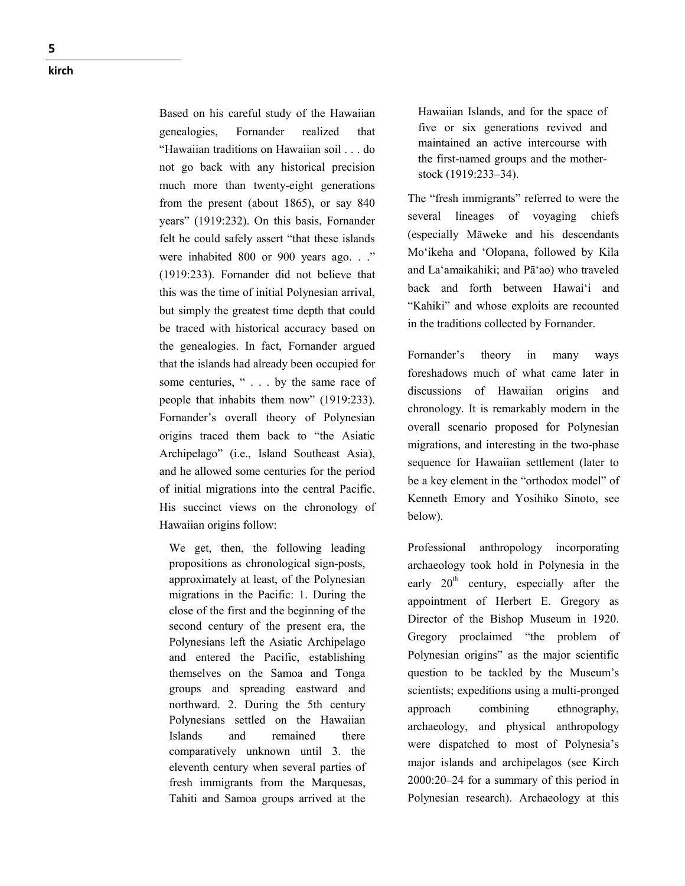Based on his careful study of the Hawaiian genealogies, Fornander realized that "Hawaiian traditions on Hawaiian soil . . . do not go back with any historical precision much more than twenty -eight generations from the present (about 1865), or say 840 years" (1919:232). On this basis, Fornander felt he could safely assert "that these islands were inhabited 800 or 900 years ago. . ." (1919:233). Fornander did not believe that this was the time of initial Polynesian arrival, but simply the greatest time depth that could be traced with historical accuracy based on the genealogies. In fact, Fornander argued that the islands had already been occupied for some centuries, "... by the same race of people that inhabits them now" (1919:233). Fornander's overall theory of Polynesian origins traced them back to "the Asiatic Archipelago" (i.e., Island Southeast Asia), and he allowed some centuries for the period of initial migrations into the central Pacific. His succinct views on the chronology of Hawaiian origins follow:

We get, then, the following leading propositions as chronological sign -posts, approximately at least, of the Polynesian migrations in the Pacific: 1. During the close of the first and the beginning of the second century of the present era, the Polynesians left the Asiatic Archipelago and entered the Pacific, establishing themselves on the Samoa and Tonga groups and spreading eastward and northward. 2. During the 5th century Polynesians settled on the Hawaiian Islands and remained there comparatively unknown until 3. the eleventh century when several parties of fresh immigrants from the Marquesas, Tahiti and Samoa groups arrived at the

Hawaiian Islands, and for the space of five or six generations revived and maintained an active intercourse with the first -named groups and the mother stock (1919:233–34).

The "fresh immigrants" referred to were the several lineages of voyaging chiefs (especially Māweke and his descendants Mo'ikeha and 'Olopana, followed by Kila and La'amaikahiki; and Pā'ao) who traveled back and forth between Hawai'i and "Kahiki" and whose exploits are recounted in the traditions collected by Fornander.

Fornander's theory in many ways foreshadows much of what came later in discussions of Hawaiian origins and chronology. It is remarkably modern in the overall scenario proposed for Polynesian migrations, and interesting in the two -phase sequence for Hawaiian settlement (later to be a key element in the "orthodox model" of Kenneth Emory and Yosihiko Sinoto, see below).

Professional anthropology incorporating archaeology took hold in Polynesia in the early  $20<sup>th</sup>$  century, especially after the appointment of Herbert E. Gregory as Director of the Bishop Museum in 1920. Gregory proclaimed "the problem of Polynesian origins" as the major scientific question to be tackled by the Museum's scientists; expeditions using a multi-pronged approach combining ethnography, archaeology, and physical anthropology were dispatched to most of Polynesia's major islands and archipelagos (see Kirch 2000:20–24 for a summary of this period in Polynesian research). Archaeology at this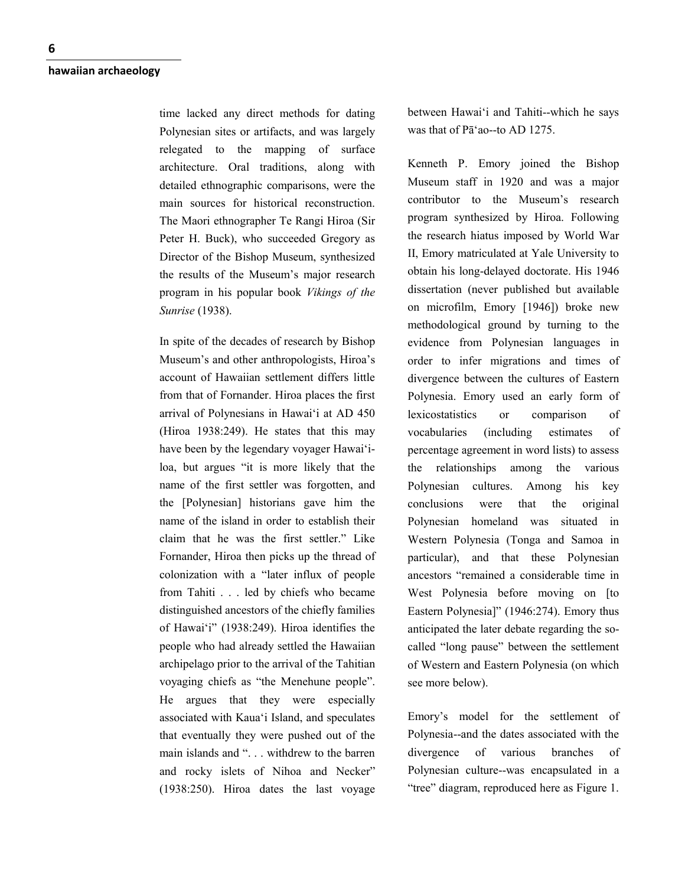time lacked any direct methods for dating Polynesian sites or artifacts, and was largely relegated to the mapping of surface architecture. Oral traditions, along with detailed ethnographic comparisons, were the main sources for historical reconstruction. The Maori ethnographer Te Rangi Hiroa (Sir Peter H. Buck), who succeeded Gregory as Director of the Bishop Museum, synthesized the results of the Museum's major research program in his popular book *Vikings of the Sunrise* (1938).

In spite of the decades of research by Bishop Museum's and other anthropologists, Hiroa's account of Hawaiian settlement differs little from that of Fornander. Hiroa places the first arrival of Polynesians in Hawai'i at AD 450 (Hiroa 1938:249). He states that this may have been by the legendary voyager Hawai'iloa, but argues "it is more likely that the name of the first settler was forgotten, and the [Polynesian] historians gave him the name of the island in order to establish their claim that he was the first settler." Like Fornander, Hiroa then picks up the thread of colonization with a "later influx of people from Tahiti . . . led by chiefs who became distinguished ancestors of the chiefly families of Hawai'i" (1938:249). Hiroa identifies the people who had already settled the Hawaiian archipelago prior to the arrival of the Tahitian voyaging chiefs as "the Menehune people". He argues that they were especially associated with Kaua'i Island, and speculates that eventually they were pushed out of the main islands and ". . . withdrew to the barren and rocky islets of Nihoa and Necker" (1938:250). Hiroa dates the last voyage

between Hawai'i and Tahiti--which he says was that of Pā'ao--to AD 1275.

Kenneth P. Emory joined the Bishop Museum staff in 1920 and was a major contributor to the Museum's research program synthesized by Hiroa. Following the research hiatus imposed by World War II, Emory matriculated at Yale University to obtain his long-delayed doctorate. His 1946 dissertation (never published but available on microfilm, Emory [1946]) broke new methodological ground by turning to the evidence from Polynesian languages in order to infer migrations and times of divergence between the cultures of Eastern Polynesia. Emory used an early form of lexicostatistics or comparison of vocabularies (including estimates of percentage agreement in word lists) to assess the relationships among the various Polynesian cultures. Among his key conclusions were that the original Polynesian homeland was situated in Western Polynesia (Tonga and Samoa in particular), and that these Polynesian ancestors "remained a considerable time in West Polynesia before moving on [to Eastern Polynesia]" (1946:274). Emory thus anticipated the later debate regarding the socalled "long pause" between the settlement of Western and Eastern Polynesia (on which see more below).

Emory's model for the settlement of Polynesia--and the dates associated with the divergence of various branches of Polynesian culture--was encapsulated in a "tree" diagram, reproduced here as Figure 1.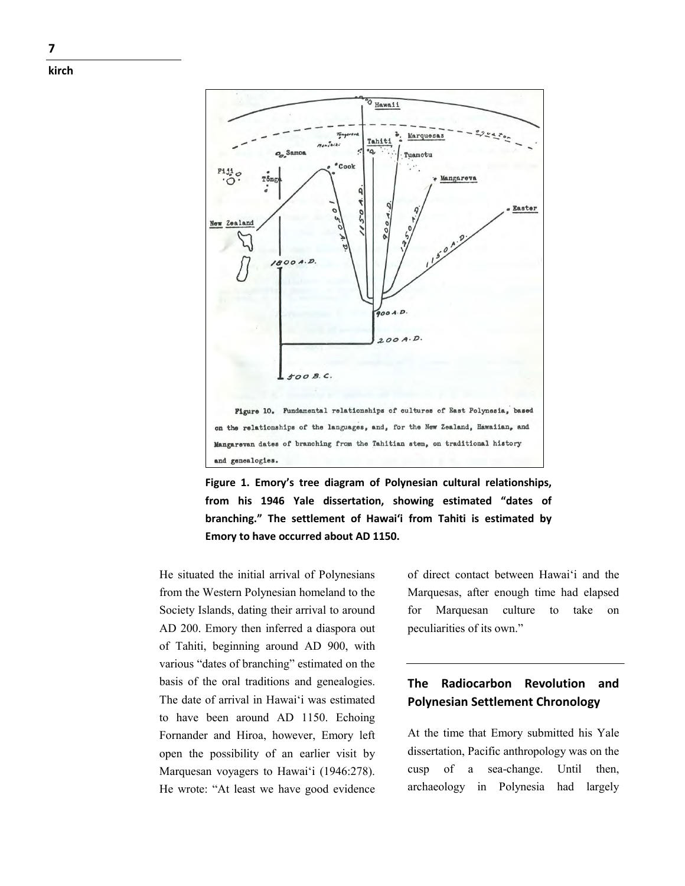





He situated the initial arrival of Polynesians from the Western Polynesian homeland to the Society Islands, dating their arrival to around AD 200. Emory then inferred a diaspora out of Tahiti, beginning around AD 900, with various "dates of branching" estimated on the basis of the oral traditions and genealogies. The date of arrival in Hawai'i was estimated to have been around AD 1150. Echoing Fornander and Hiroa, however, Emory left open the possibility of an earlier visit by Marquesan voyagers to Hawai'i (1946:278). He wrote: "At least we have good evidence of direct contact between Hawai'i and the Marquesas, after enough time had elapsed for Marquesan culture to take on peculiarities of its own."

# **The Radiocarbon Revolution and Polynesian Settlement Chronology**

At the time that Emory submitted his Yale dissertation, Pacific anthropology was on the cusp of a sea-change. Until then, archaeology in Polynesia had largely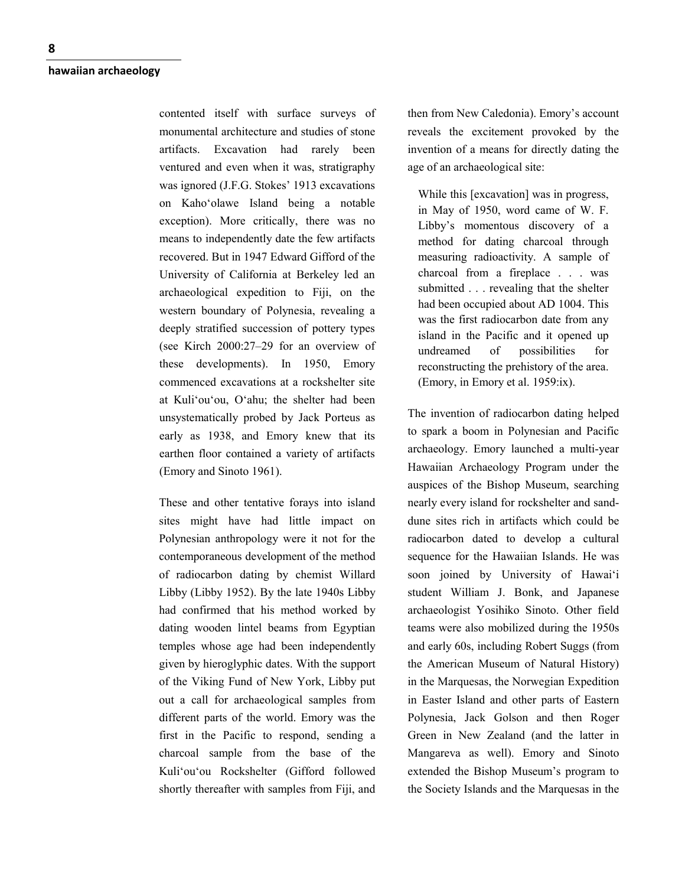contented itself with surface surveys of monumental architecture and studies of stone artifacts. Excavation had rarely been ventured and even when it was, stratigraphy was ignored (J.F.G. Stokes' 1913 excavations on Kaho'olawe Island being a notable exception). More critically, there was no means to independently date the few artifacts recovered. But in 1947 Edward Gifford of the University of California at Berkeley led an archaeological expedition to Fiji, on the western boundary of Polynesia, revealing a deeply stratified succession of pottery types (see Kirch 2000:27–29 for an overview of these developments). In 1950, Emory commenced excavations at a rockshelter site at Kuli'ou'ou, O'ahu; the shelter had been unsystematically probed by Jack Porteus as early as 1938, and Emory knew that its earthen floor contained a variety of artifacts (Emory and Sinoto 1961).

These and other tentative forays into island sites might have had little impact on Polynesian anthropology were it not for the contemporaneous development of the method of radiocarbon dating by chemist Willard Libby (Libby 1952). By the late 1940s Libby had confirmed that his method worked by dating wooden lintel beams from Egyptian temples whose age had been independently given by hieroglyphic dates. With the support of the Viking Fund of New York, Libby put out a call for archaeological samples from different parts of the world. Emory was the first in the Pacific to respond, sending a charcoal sample from the base of the Kuli'ou'ou Rockshelter (Gifford followed shortly thereafter with samples from Fiji, and

then from New Caledonia). Emory's account reveals the excitement provoked by the invention of a means for directly dating the age of an archaeological site:

While this [excavation] was in progress, in May of 1950, word came of W. F. Libby's momentous discovery of a method for dating charcoal through measuring radioactivity. A sample of charcoal from a fireplace . . . was submitted . . . revealing that the shelter had been occupied about AD 1004. This was the first radiocarbon date from any island in the Pacific and it opened up undreamed of possibilities for reconstructing the prehistory of the area. (Emory, in Emory et al. 1959:ix).

The invention of radiocarbon dating helped to spark a boom in Polynesian and Pacific archaeology. Emory launched a multi-year Hawaiian Archaeology Program under the auspices of the Bishop Museum, searching nearly every island for rockshelter and sanddune sites rich in artifacts which could be radiocarbon dated to develop a cultural sequence for the Hawaiian Islands. He was soon joined by University of Hawai'i student William J. Bonk, and Japanese archaeologist Yosihiko Sinoto. Other field teams were also mobilized during the 1950s and early 60s, including Robert Suggs (from the American Museum of Natural History) in the Marquesas, the Norwegian Expedition in Easter Island and other parts of Eastern Polynesia, Jack Golson and then Roger Green in New Zealand (and the latter in Mangareva as well). Emory and Sinoto extended the Bishop Museum's program to the Society Islands and the Marquesas in the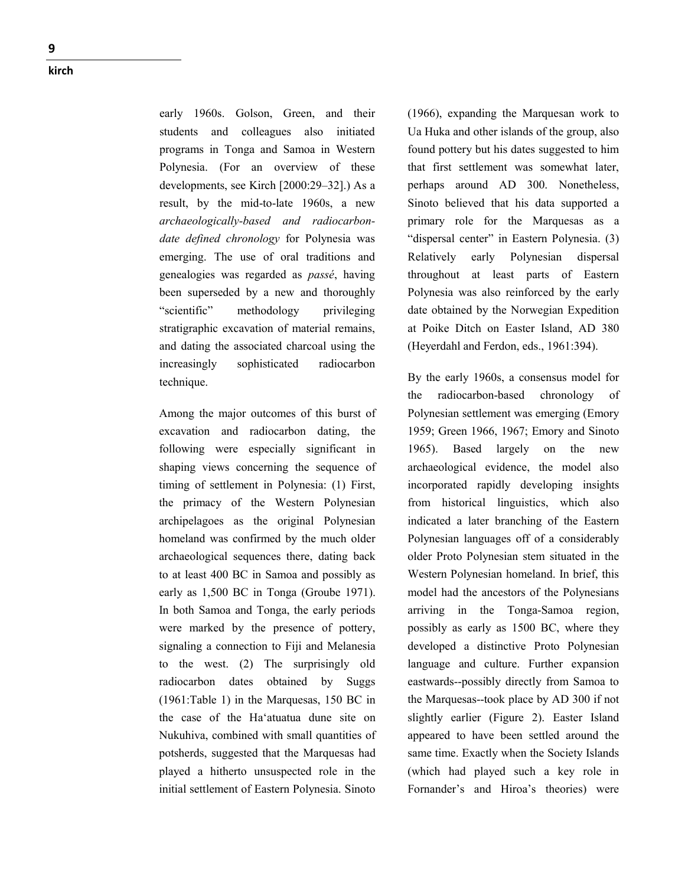early 1960s. Golson, Green, and their students and colleagues also initiated programs in Tonga and Samoa in Western Polynesia. (For an overview of these developments, see Kirch [2000:29–32].) As a result, by the mid-to-late 1960s, a new *archaeologically-based and radiocarbondate defined chronology* for Polynesia was emerging. The use of oral traditions and genealogies was regarded as *passé*, having been superseded by a new and thoroughly "scientific" methodology privileging stratigraphic excavation of material remains, and dating the associated charcoal using the increasingly sophisticated radiocarbon technique.

Among the major outcomes of this burst of excavation and radiocarbon dating, the following were especially significant in shaping views concerning the sequence of timing of settlement in Polynesia: (1) First, the primacy of the Western Polynesian archipelagoes as the original Polynesian homeland was confirmed by the much older archaeological sequences there, dating back to at least 400 BC in Samoa and possibly as early as 1,500 BC in Tonga (Groube 1971). In both Samoa and Tonga, the early periods were marked by the presence of pottery, signaling a connection to Fiji and Melanesia to the west. (2) The surprisingly old radiocarbon dates obtained by Suggs (1961:Table 1) in the Marquesas, 150 BC in the case of the Ha'atuatua dune site on Nukuhiva, combined with small quantities of potsherds, suggested that the Marquesas had played a hitherto unsuspected role in the initial settlement of Eastern Polynesia. Sinoto

(1966), expanding the Marquesan work to Ua Huka and other islands of the group, also found pottery but his dates suggested to him that first settlement was somewhat later, perhaps around AD 300. Nonetheless, Sinoto believed that his data supported a primary role for the Marquesas as a "dispersal center" in Eastern Polynesia. (3) Relatively early Polynesian dispersal throughout at least parts of Eastern Polynesia was also reinforced by the early date obtained by the Norwegian Expedition at Poike Ditch on Easter Island, AD 380 (Heyerdahl and Ferdon, eds., 1961:394).

By the early 1960s, a consensus model for the radiocarbon-based chronology of Polynesian settlement was emerging (Emory 1959; Green 1966, 1967; Emory and Sinoto 1965). Based largely on the new archaeological evidence, the model also incorporated rapidly developing insights from historical linguistics, which also indicated a later branching of the Eastern Polynesian languages off of a considerably older Proto Polynesian stem situated in the Western Polynesian homeland. In brief, this model had the ancestors of the Polynesians arriving in the Tonga-Samoa region, possibly as early as 1500 BC, where they developed a distinctive Proto Polynesian language and culture. Further expansion eastwards--possibly directly from Samoa to the Marquesas--took place by AD 300 if not slightly earlier (Figure 2). Easter Island appeared to have been settled around the same time. Exactly when the Society Islands (which had played such a key role in Fornander's and Hiroa's theories) were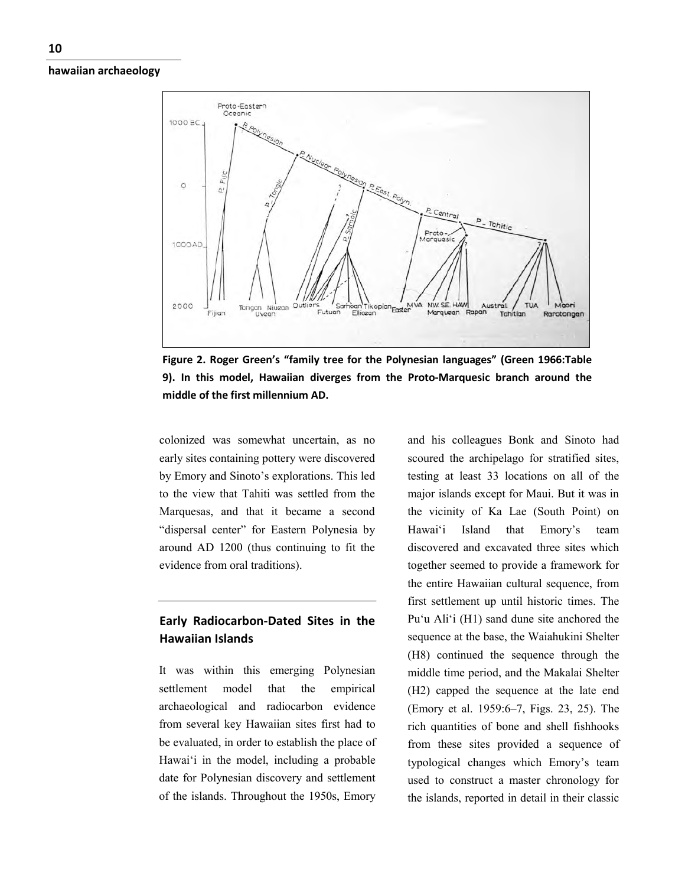

**Figure 2. Roger Green's "family tree for the Polynesian languages" (Green 1966:Table 9). In this model, Hawaiian diverges from the Proto-Marquesic branch around the middle of the first millennium AD.**

colonized was somewhat uncertain, as no early sites containing pottery were discovered by Emory and Sinoto's explorations. This led to the view that Tahiti was settled from the Marquesas, and that it became a second "dispersal center" for Eastern Polynesia by around AD 1200 (thus continuing to fit the evidence from oral traditions).

# **Early Radiocarbon-Dated Sites in the Hawaiian Islands**

It was within this emerging Polynesian settlement model that the empirical archaeological and radiocarbon evidence from several key Hawaiian sites first had to be evaluated, in order to establish the place of Hawai'i in the model, including a probable date for Polynesian discovery and settlement of the islands. Throughout the 1950s, Emory

and his colleagues Bonk and Sinoto had scoured the archipelago for stratified sites, testing at least 33 locations on all of the major islands except for Maui. But it was in the vicinity of Ka Lae (South Point) on Hawai'i Island that Emory's team discovered and excavated three sites which together seemed to provide a framework for the entire Hawaiian cultural sequence, from first settlement up until historic times. The Pu'u Ali'i (H1) sand dune site anchored the sequence at the base, the Waiahukini Shelter (H8) continued the sequence through the middle time period, and the Makalai Shelter (H2) capped the sequence at the late end (Emory et al. 1959:6–7, Figs. 23, 25). The rich quantities of bone and shell fishhooks from these sites provided a sequence of typological changes which Emory's team used to construct a master chronology for the islands, reported in detail in their classic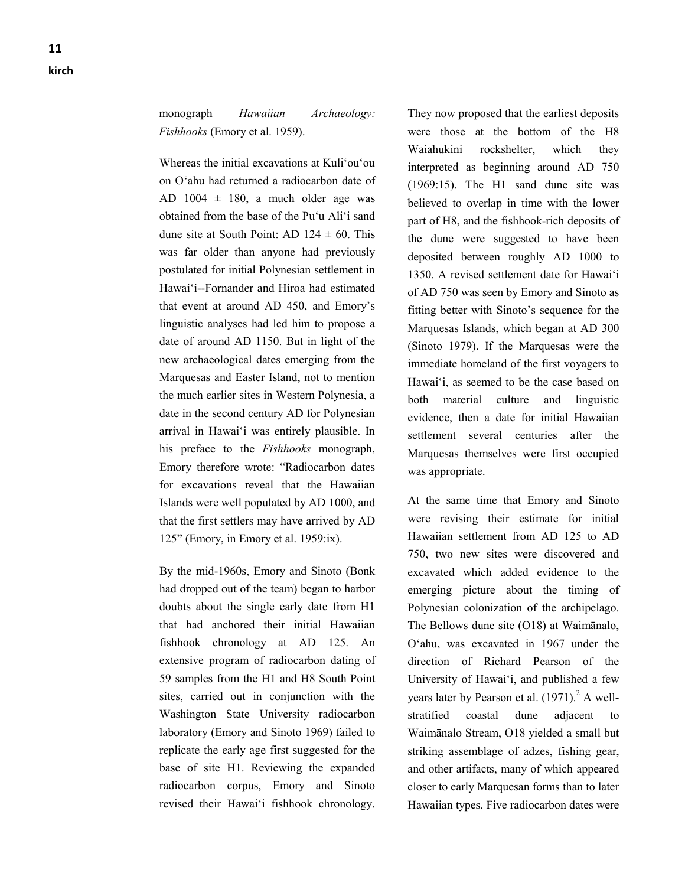Whereas the initial excavations at Kuli'ou'ou on O'ahu had returned a radiocarbon date of AD  $1004 \pm 180$ , a much older age was obtained from the base of the Pu'u Ali'i sand dune site at South Point: AD  $124 \pm 60$ . This was far older than anyone had previously postulated for initial Polynesian settlement in Hawai'i--Fornander and Hiroa had estimated that event at around AD 450, and Emory's linguistic analyses had led him to propose a date of around AD 1150. But in light of the new archaeological dates emerging from the Marquesas and Easter Island, not to mention the much earlier sites in Western Polynesia, a date in the second century AD for Polynesian arrival in Hawai'i was entirely plausible. In his preface to the *Fishhooks* monograph, Emory therefore wrote: "Radiocarbon dates for excavations reveal that the Hawaiian Islands were well populated by AD 1000, and that the first settlers may have arrived by AD 125" (Emory, in Emory et al. 1959:ix).

By the mid-1960s, Emory and Sinoto (Bonk had dropped out of the team) began to harbor doubts about the single early date from H1 that had anchored their initial Hawaiian fishhook chronology at AD 125. An extensive program of radiocarbon dating of 59 samples from the H1 and H8 South Point sites, carried out in conjunction with the Washington State University radiocarbon laboratory (Emory and Sinoto 1969) failed to replicate the early age first suggested for the base of site H1. Reviewing the expanded radiocarbon corpus, Emory and Sinoto revised their Hawai'i fishhook chronology.

They now proposed that the earliest deposits were those at the bottom of the H8 Waiahukini rockshelter, which they interpreted as beginning around AD 750 (1969:15). The H1 sand dune site was believed to overlap in time with the lower part of H8, and the fishhook-rich deposits of the dune were suggested to have been deposited between roughly AD 1000 to 1350. A revised settlement date for Hawai'i of AD 750 was seen by Emory and Sinoto as fitting better with Sinoto's sequence for the Marquesas Islands, which began at AD 300 (Sinoto 1979). If the Marquesas were the immediate homeland of the first voyagers to Hawai'i, as seemed to be the case based on both material culture and linguistic evidence, then a date for initial Hawaiian settlement several centuries after the Marquesas themselves were first occupied was appropriate.

At the same time that Emory and Sinoto were revising their estimate for initial Hawaiian settlement from AD 125 to AD 750, two new sites were discovered and excavated which added evidence to the emerging picture about the timing of Polynesian colonization of the archipelago. The Bellows dune site (O18) at Waimānalo, O'ahu, was excavated in 1967 under the direction of Richard Pearson of the University of Hawai'i, and published a few years later by Pearson et al.  $(1971)$ .<sup>2</sup> A wellstratified coastal dune adjacent to Waimānalo Stream, O18 yielded a small but striking assemblage of adzes, fishing gear, and other artifacts, many of which appeared closer to early Marquesan forms than to later Hawaiian types. Five radiocarbon dates were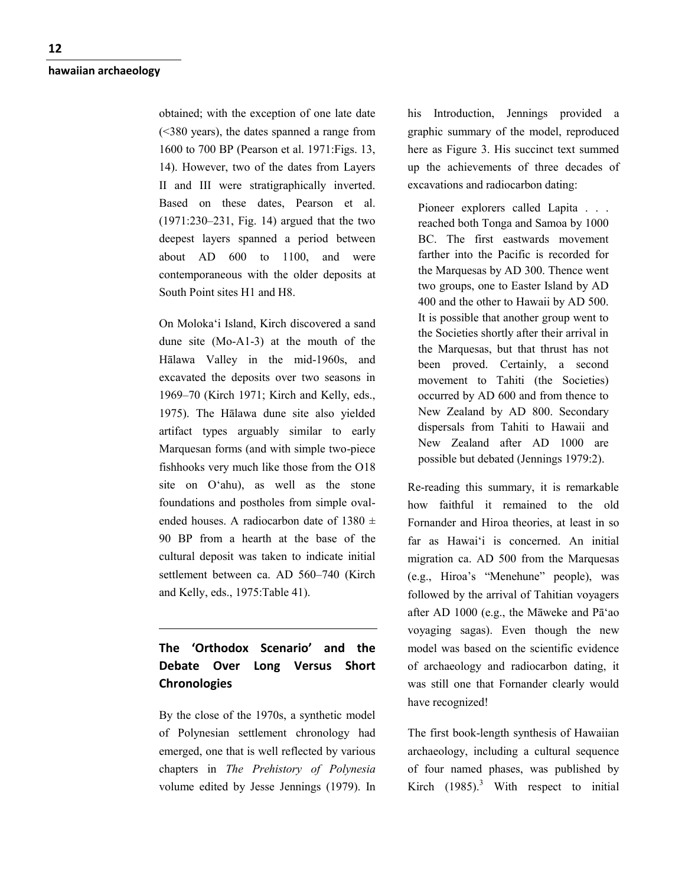obtained; with the exception of one late date (<380 years), the dates spanned a range from 1600 to 700 BP (Pearson et al. 1971:Figs. 13, 14). However, two of the dates from Layers II and III were stratigraphically inverted. Based on these dates, Pearson et al. (1971:230–231, Fig. 14) argued that the two deepest layers spanned a period between about AD 600 to 1100, and were contemporaneous with the older deposits at South Point sites H1 and H8.

On Moloka'i Island, Kirch discovered a sand dune site (Mo-A1-3) at the mouth of the Hālawa Valley in the mid-1960s, and excavated the deposits over two seasons in 1969–70 (Kirch 1971; Kirch and Kelly, eds., 1975). The Hālawa dune site also yielded artifact types arguably similar to early Marquesan forms (and with simple two-piece fishhooks very much like those from the O18 site on O'ahu), as well as the stone foundations and postholes from simple ovalended houses. A radiocarbon date of  $1380 \pm$ 90 BP from a hearth at the base of the cultural deposit was taken to indicate initial settlement between ca. AD 560–740 (Kirch and Kelly, eds., 1975:Table 41).

# **The 'Orthodox Scenario' and the Debate Over Long Versus Short Chronologies**

By the close of the 1970s, a synthetic model of Polynesian settlement chronology had emerged, one that is well reflected by various chapters in *The Prehistory of Polynesia* volume edited by Jesse Jennings (1979). In his Introduction, Jennings provided a graphic summary of the model, reproduced here as Figure 3. His succinct text summed up the achievements of three decades of excavations and radiocarbon dating:

Pioneer explorers called Lapita . . . reached both Tonga and Samoa by 1000 BC. The first eastwards movement farther into the Pacific is recorded for the Marquesas by AD 300. Thence went two groups, one to Easter Island by AD 400 and the other to Hawaii by AD 500. It is possible that another group went to the Societies shortly after their arrival in the Marquesas, but that thrust has not been proved. Certainly, a second movement to Tahiti (the Societies) occurred by AD 600 and from thence to New Zealand by AD 800. Secondary dispersals from Tahiti to Hawaii and New Zealand after AD 1000 are possible but debated (Jennings 1979:2).

Re-reading this summary, it is remarkable how faithful it remained to the old Fornander and Hiroa theories, at least in so far as Hawai'i is concerned. An initial migration ca. AD 500 from the Marquesas (e.g., Hiroa's "Menehune" people), was followed by the arrival of Tahitian voyagers after AD 1000 (e.g., the Māweke and Pā'ao voyaging sagas). Even though the new model was based on the scientific evidence of archaeology and radiocarbon dating, it was still one that Fornander clearly would have recognized!

The first book-length synthesis of Hawaiian archaeology, including a cultural sequence of four named phases, was published by Kirch  $(1985)^3$  With respect to initial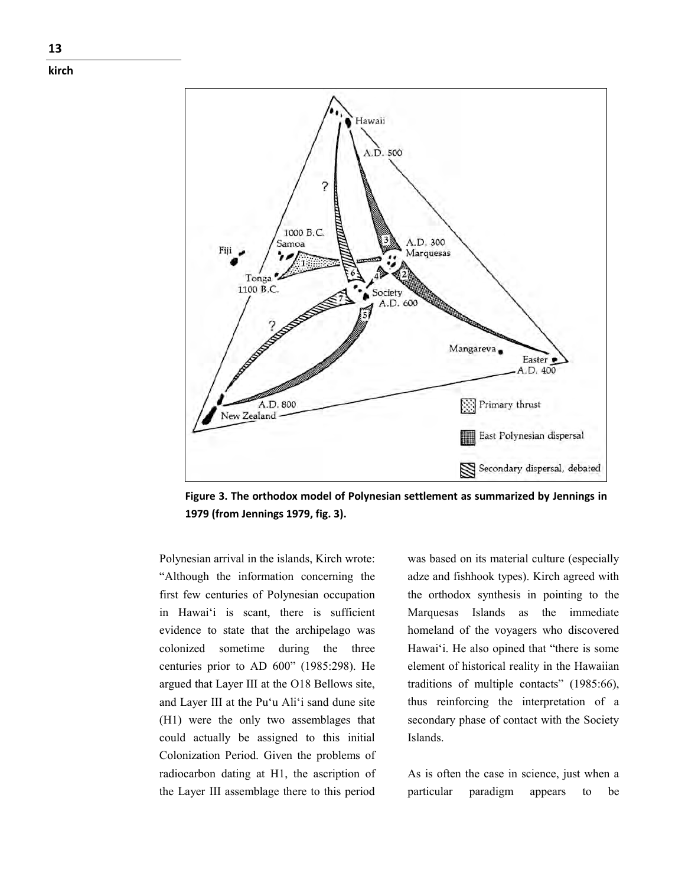

**Figure 3. The orthodox model of Polynesian settlement as summarized by Jennings in 1979 (from Jennings 1979, fig. 3).**

Polynesian arrival in the islands, Kirch wrote: "Although the information concerning the first few centuries of Polynesian occupation in Hawai'i is scant, there is sufficient evidence to state that the archipelago was colonized sometime during the three centuries prior to AD 600" (1985:298). He argued that Layer III at the O18 Bellows site, and Layer III at the Pu'u Ali'i sand dune site (H1) were the only two assemblages that could actually be assigned to this initial Colonization Period. Given the problems of radiocarbon dating at H1, the ascription of the Layer III assemblage there to this period

was based on its material culture (especially adze and fishhook types). Kirch agreed with the orthodox synthesis in pointing to the Marquesas Islands as the immediate homeland of the voyagers who discovered Hawai'i. He also opined that "there is some element of historical reality in the Hawaiian traditions of multiple contacts" (1985:66), thus reinforcing the interpretation of a secondary phase of contact with the Society Islands.

As is often the case in science, just when a particular paradigm appears to be

**kirch**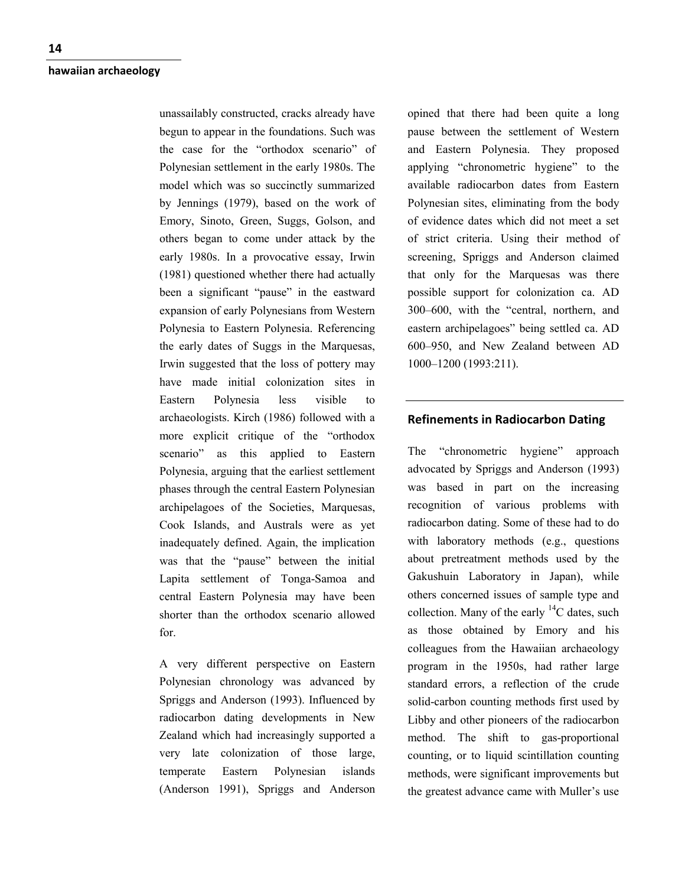unassailably constructed, cracks already have begun to appear in the foundations. Such was the case for the "orthodox scenario" of Polynesian settlement in the early 1980s. The model which was so succinctly summarized by Jennings (1979), based on the work of Emory, Sinoto, Green, Suggs, Golson, and others began to come under attack by the early 1980s. In a provocative essay, Irwin (1981) questioned whether there had actually been a significant "pause" in the eastward expansion of early Polynesians from Western Polynesia to Eastern Polynesia. Referencing the early dates of Suggs in the Marquesas, Irwin suggested that the loss of pottery may have made initial colonization sites in Eastern Polynesia less visible to archaeologists. Kirch (1986) followed with a more explicit critique of the "orthodox scenario" as this applied to Eastern Polynesia, arguing that the earliest settlement phases through the central Eastern Polynesian archipelagoes of the Societies, Marquesas, Cook Islands, and Australs were as yet inadequately defined. Again, the implication was that the "pause" between the initial Lapita settlement of Tonga-Samoa and central Eastern Polynesia may have been shorter than the orthodox scenario allowed for.

A very different perspective on Eastern Polynesian chronology was advanced by Spriggs and Anderson (1993). Influenced by radiocarbon dating developments in New Zealand which had increasingly supported a very late colonization of those large, temperate Eastern Polynesian islands (Anderson 1991), Spriggs and Anderson opined that there had been quite a long pause between the settlement of Western and Eastern Polynesia. They proposed applying "chronometric hygiene" to the available radiocarbon dates from Eastern Polynesian sites, eliminating from the body of evidence dates which did not meet a set of strict criteria. Using their method of screening, Spriggs and Anderson claimed that only for the Marquesas was there possible support for colonization ca. AD 300–600, with the "central, northern, and eastern archipelagoes" being settled ca. AD 600–950, and New Zealand between AD 1000–1200 (1993:211).

## **Refinements in Radiocarbon Dating**

The "chronometric hygiene" approach advocated by Spriggs and Anderson (1993) was based in part on the increasing recognition of various problems with radiocarbon dating. Some of these had to do with laboratory methods (e.g., questions about pretreatment methods used by the Gakushuin Laboratory in Japan), while others concerned issues of sample type and collection. Many of the early  $^{14}$ C dates, such as those obtained by Emory and his colleagues from the Hawaiian archaeology program in the 1950s, had rather large standard errors, a reflection of the crude solid-carbon counting methods first used by Libby and other pioneers of the radiocarbon method. The shift to gas-proportional counting, or to liquid scintillation counting methods, were significant improvements but the greatest advance came with Muller's use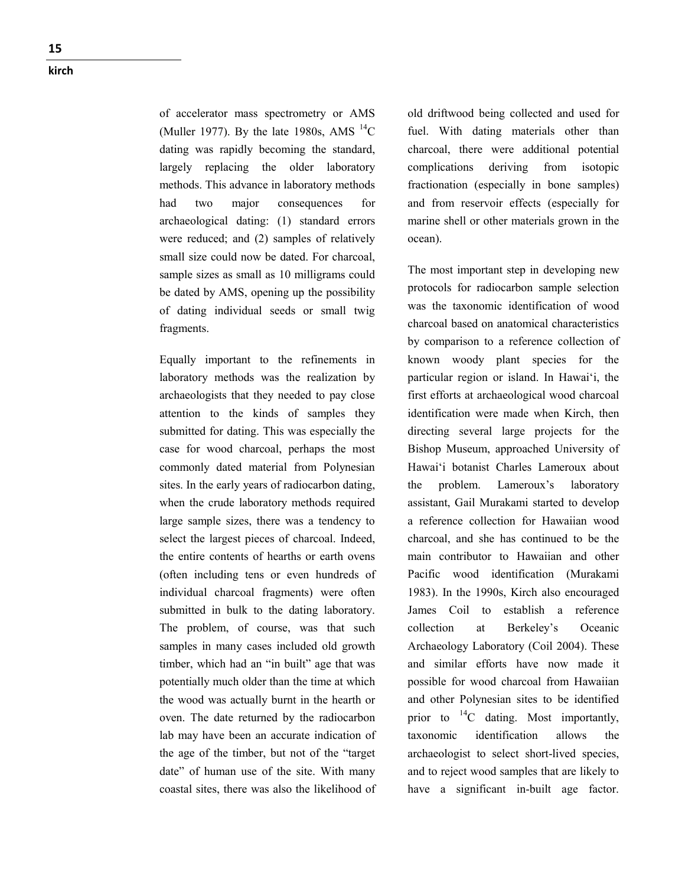of accelerator mass spectrometry or AMS (Muller 1977). By the late 1980s, AMS  $^{14}$ C dating was rapidly becoming the standard, largely replacing the older laboratory methods. This advance in laboratory methods had two major consequences for archaeological dating: (1) standard errors were reduced; and (2) samples of relatively small size could now be dated. For charcoal, sample sizes as small as 10 milligrams could be dated by AMS, opening up the possibility of dating individual seeds or small twig fragments.

Equally important to the refinements in laboratory methods was the realization by archaeologists that they needed to pay close attention to the kinds of samples they submitted for dating. This was especially the case for wood charcoal, perhaps the most commonly dated material from Polynesian sites. In the early years of radiocarbon dating, when the crude laboratory methods required large sample sizes, there was a tendency to select the largest pieces of charcoal. Indeed, the entire contents of hearths or earth ovens (often including tens or even hundreds of individual charcoal fragments) were often submitted in bulk to the dating laboratory. The problem, of course, was that such samples in many cases included old growth timber, which had an "in built" age that was potentially much older than the time at which the wood was actually burnt in the hearth or oven. The date returned by the radiocarbon lab may have been an accurate indication of the age of the timber, but not of the "target date" of human use of the site. With many coastal sites, there was also the likelihood of old driftwood being collected and used for fuel. With dating materials other than charcoal, there were additional potential complications deriving from isotopic fractionation (especially in bone samples) and from reservoir effects (especially for marine shell or other materials grown in the ocean).

The most important step in developing new protocols for radiocarbon sample selection was the taxonomic identification of wood charcoal based on anatomical characteristics by comparison to a reference collection of known woody plant species for the particular region or island. In Hawai'i, the first efforts at archaeological wood charcoal identification were made when Kirch, then directing several large projects for the Bishop Museum, approached University of Hawai'i botanist Charles Lameroux about the problem. Lameroux's laboratory assistant, Gail Murakami started to develop a reference collection for Hawaiian wood charcoal, and she has continued to be the main contributor to Hawaiian and other Pacific wood identification (Murakami 1983). In the 1990s, Kirch also encouraged James Coil to establish a reference collection at Berkeley's Oceanic Archaeology Laboratory (Coil 2004). These and similar efforts have now made it possible for wood charcoal from Hawaiian and other Polynesian sites to be identified prior to  $^{14}$ C dating. Most importantly, taxonomic identification allows the archaeologist to select short-lived species, and to reject wood samples that are likely to have a significant in-built age factor.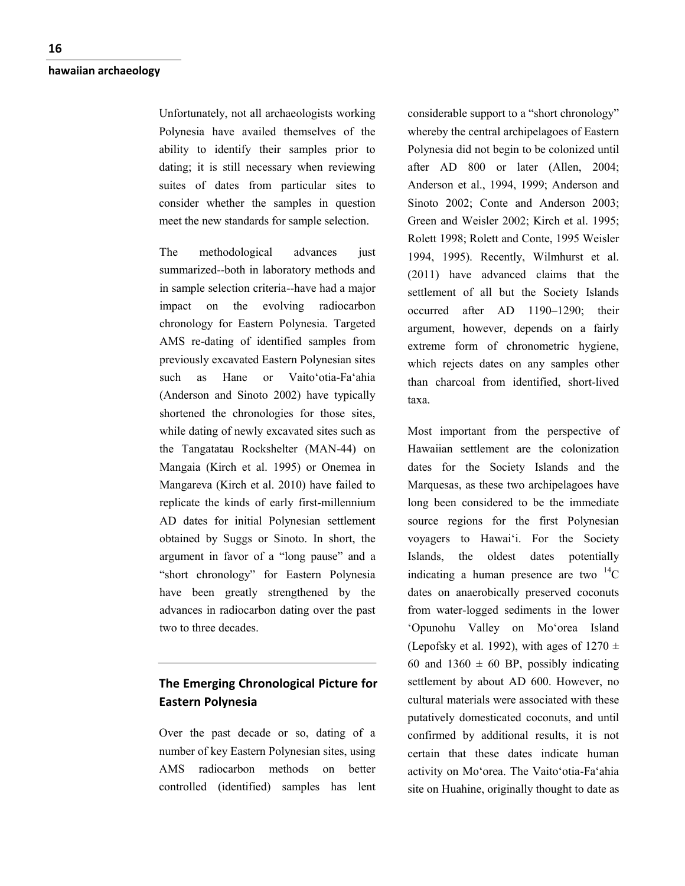Unfortunately, not all archaeologists working Polynesia have availed themselves of the ability to identify their samples prior to dating; it is still necessary when reviewing suites of dates from particular sites to consider whether the samples in question meet the new standards for sample selection.

The methodological advances just summarized--both in laboratory methods and in sample selection criteria--have had a major impact on the evolving radiocarbon chronology for Eastern Polynesia. Targeted AMS re-dating of identified samples from previously excavated Eastern Polynesian sites such as Hane or Vaito'otia-Fa'ahia (Anderson and Sinoto 2002) have typically shortened the chronologies for those sites, while dating of newly excavated sites such as the Tangatatau Rockshelter (MAN-44) on Mangaia (Kirch et al. 1995) or Onemea in Mangareva (Kirch et al. 2010) have failed to replicate the kinds of early first-millennium AD dates for initial Polynesian settlement obtained by Suggs or Sinoto. In short, the argument in favor of a "long pause" and a "short chronology" for Eastern Polynesia have been greatly strengthened by the advances in radiocarbon dating over the past two to three decades.

## **The Emerging Chronological Picture for Eastern Polynesia**

Over the past decade or so, dating of a number of key Eastern Polynesian sites, using AMS radiocarbon methods on better controlled (identified) samples has lent considerable support to a "short chronology" whereby the central archipelagoes of Eastern Polynesia did not begin to be colonized until after AD 800 or later (Allen, 2004; Anderson et al., 1994, 1999; Anderson and Sinoto 2002; Conte and Anderson 2003; Green and Weisler 2002; Kirch et al. 1995; Rolett 1998; Rolett and Conte, 1995 Weisler 1994, 1995). Recently, Wilmhurst et al. (2011) have advanced claims that the settlement of all but the Society Islands occurred after AD 1190–1290; their argument, however, depends on a fairly extreme form of chronometric hygiene, which rejects dates on any samples other than charcoal from identified, short-lived taxa.

Most important from the perspective of Hawaiian settlement are the colonization dates for the Society Islands and the Marquesas, as these two archipelagoes have long been considered to be the immediate source regions for the first Polynesian voyagers to Hawai'i. For the Society Islands, the oldest dates potentially indicating a human presence are two  $^{14}$ C dates on anaerobically preserved coconuts from water-logged sediments in the lower 'Opunohu Valley on Mo'orea Island (Lepofsky et al. 1992), with ages of  $1270 \pm$ 60 and 1360  $\pm$  60 BP, possibly indicating settlement by about AD 600. However, no cultural materials were associated with these putatively domesticated coconuts, and until confirmed by additional results, it is not certain that these dates indicate human activity on Mo'orea. The Vaito'otia-Fa'ahia site on Huahine, originally thought to date as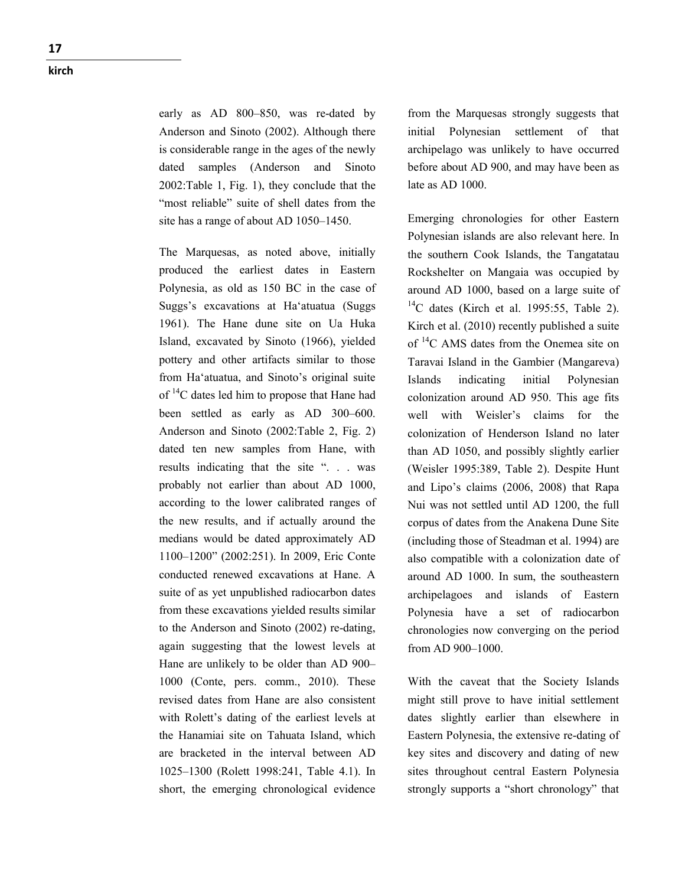early as AD 800–850, was re-dated by Anderson and Sinoto (2002). Although there is considerable range in the ages of the newly dated samples (Anderson and Sinoto 2002:Table 1, Fig. 1), they conclude that the "most reliable" suite of shell dates from the site has a range of about AD 1050–1450.

The Marquesas, as noted above, initially produced the earliest dates in Eastern Polynesia, as old as 150 BC in the case of Suggs's excavations at Ha'atuatua (Suggs 1961). The Hane dune site on Ua Huka Island, excavated by Sinoto (1966), yielded pottery and other artifacts similar to those from Ha'atuatua, and Sinoto's original suite of  $14$ C dates led him to propose that Hane had been settled as early as AD 300–600. Anderson and Sinoto (2002:Table 2, Fig. 2) dated ten new samples from Hane, with results indicating that the site ". . . was probably not earlier than about AD 1000, according to the lower calibrated ranges of the new results, and if actually around the medians would be dated approximately AD 1100–1200" (2002:251). In 2009, Eric Conte conducted renewed excavations at Hane. A suite of as yet unpublished radiocarbon dates from these excavations yielded results similar to the Anderson and Sinoto (2002) re-dating, again suggesting that the lowest levels at Hane are unlikely to be older than AD 900– 1000 (Conte, pers. comm., 2010). These revised dates from Hane are also consistent with Rolett's dating of the earliest levels at the Hanamiai site on Tahuata Island, which are bracketed in the interval between AD 1025–1300 (Rolett 1998:241, Table 4.1). In short, the emerging chronological evidence

from the Marquesas strongly suggests that initial Polynesian settlement of that archipelago was unlikely to have occurred before about AD 900, and may have been as late as AD 1000.

Emerging chronologies for other Eastern Polynesian islands are also relevant here. In the southern Cook Islands, the Tangatatau Rockshelter on Mangaia was occupied by around AD 1000, based on a large suite of  $^{14}$ C dates (Kirch et al. 1995:55, Table 2). Kirch et al. (2010) recently published a suite of 14C AMS dates from the Onemea site on Taravai Island in the Gambier (Mangareva) Islands indicating initial Polynesian colonization around AD 950. This age fits well with Weisler's claims for the colonization of Henderson Island no later than AD 1050, and possibly slightly earlier (Weisler 1995:389, Table 2). Despite Hunt and Lipo's claims (2006, 2008) that Rapa Nui was not settled until AD 1200, the full corpus of dates from the Anakena Dune Site (including those of Steadman et al. 1994) are also compatible with a colonization date of around AD 1000. In sum, the southeastern archipelagoes and islands of Eastern Polynesia have a set of radiocarbon chronologies now converging on the period from AD 900–1000.

With the caveat that the Society Islands might still prove to have initial settlement dates slightly earlier than elsewhere in Eastern Polynesia, the extensive re-dating of key sites and discovery and dating of new sites throughout central Eastern Polynesia strongly supports a "short chronology" that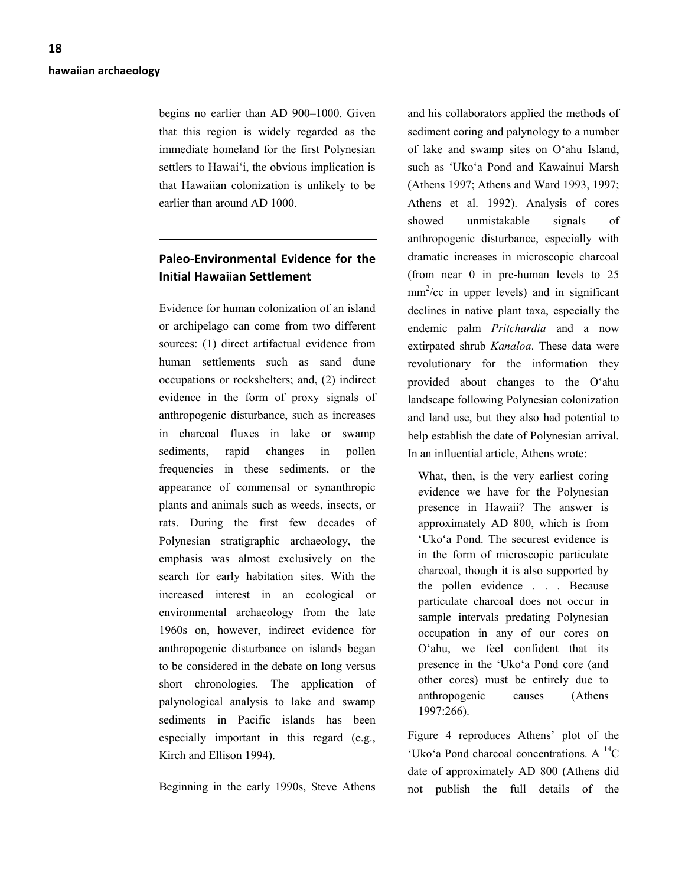begins no earlier than AD 900–1000. Given that this region is widely regarded as the immediate homeland for the first Polynesian settlers to Hawai'i, the obvious implication is that Hawaiian colonization is unlikely to be earlier than around AD 1000.

# **Paleo-Environmental Evidence for the Initial Hawaiian Settlement**

Evidence for human colonization of an island or archipelago can come from two different sources: (1) direct artifactual evidence from human settlements such as sand dune occupations or rockshelters; and, (2) indirect evidence in the form of proxy signals of anthropogenic disturbance, such as increases in charcoal fluxes in lake or swamp sediments, rapid changes in pollen frequencies in these sediments, or the appearance of commensal or synanthropic plants and animals such as weeds, insects, or rats. During the first few decades of Polynesian stratigraphic archaeology, the emphasis was almost exclusively on the search for early habitation sites. With the increased interest in an ecological or environmental archaeology from the late 1960s on, however, indirect evidence for anthropogenic disturbance on islands began to be considered in the debate on long versus short chronologies. The application of palynological analysis to lake and swamp sediments in Pacific islands has been especially important in this regard (e.g., Kirch and Ellison 1994).

Beginning in the early 1990s, Steve Athens

and his collaborators applied the methods of sediment coring and palynology to a number of lake and swamp sites on O'ahu Island, such as 'Uko'a Pond and Kawainui Marsh (Athens 1997; Athens and Ward 1993, 1997; Athens et al. 1992). Analysis of cores showed unmistakable signals of anthropogenic disturbance, especially with dramatic increases in microscopic charcoal (from near 0 in pre-human levels to 25  $mm<sup>2</sup>/cc$  in upper levels) and in significant declines in native plant taxa, especially the endemic palm *Pritchardia* and a now extirpated shrub *Kanaloa*. These data were revolutionary for the information they provided about changes to the O'ahu landscape following Polynesian colonization and land use, but they also had potential to help establish the date of Polynesian arrival. In an influential article, Athens wrote:

What, then, is the very earliest coring evidence we have for the Polynesian presence in Hawaii? The answer is approximately AD 800, which is from 'Uko'a Pond. The securest evidence is in the form of microscopic particulate charcoal, though it is also supported by the pollen evidence . . . Because particulate charcoal does not occur in sample intervals predating Polynesian occupation in any of our cores on O'ahu, we feel confident that its presence in the 'Uko'a Pond core (and other cores) must be entirely due to anthropogenic causes (Athens 1997:266).

Figure 4 reproduces Athens' plot of the 'Uko'a Pond charcoal concentrations. A  $^{14}C$ date of approximately AD 800 (Athens did not publish the full details of the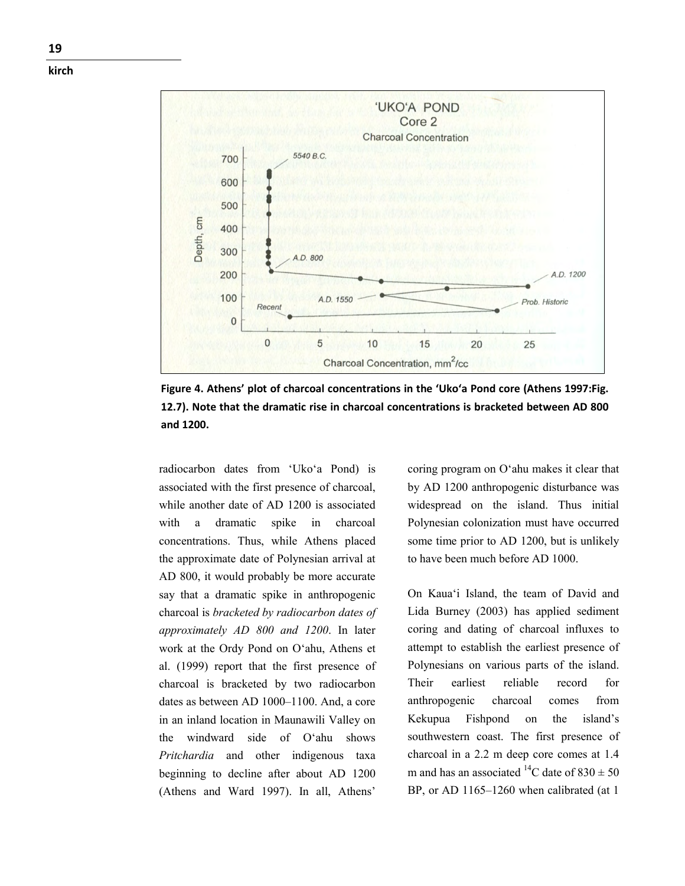

**Figure 4. Athens' plot of charcoal concentrations in the 'Uko'a Pond core (Athens 1997:Fig. 12.7). Note that the dramatic rise in charcoal concentrations is bracketed between AD 800 and 1200.**

radiocarbon dates from 'Uko'a Pond) is associated with the first presence of charcoal, while another date of AD 1200 is associated with a dramatic spike in charcoal concentrations. Thus, while Athens placed the approximate date of Polynesian arrival at AD 800, it would probably be more accurate say that a dramatic spike in anthropogenic charcoal is *bracketed by radiocarbon dates of approximately AD 800 and 1200*. In later work at the Ordy Pond on O'ahu, Athens et al. (1999) report that the first presence of charcoal is bracketed by two radiocarbon dates as between AD 1000–1100. And, a core in an inland location in Maunawili Valley on the windward side of O'ahu shows *Pritchardia* and other indigenous taxa beginning to decline after about AD 1200 (Athens and Ward 1997). In all, Athens'

coring program on O'ahu makes it clear that by AD 1200 anthropogenic disturbance was widespread on the island. Thus initial Polynesian colonization must have occurred some time prior to AD 1200, but is unlikely to have been much before AD 1000.

On Kaua'i Island, the team of David and Lida Burney (2003) has applied sediment coring and dating of charcoal influxes to attempt to establish the earliest presence of Polynesians on various parts of the island. Their earliest reliable record for anthropogenic charcoal comes from Kekupua Fishpond on the island's southwestern coast. The first presence of charcoal in a 2.2 m deep core comes at 1.4 m and has an associated <sup>14</sup>C date of  $830 \pm 50$ BP, or AD 1165–1260 when calibrated (at 1)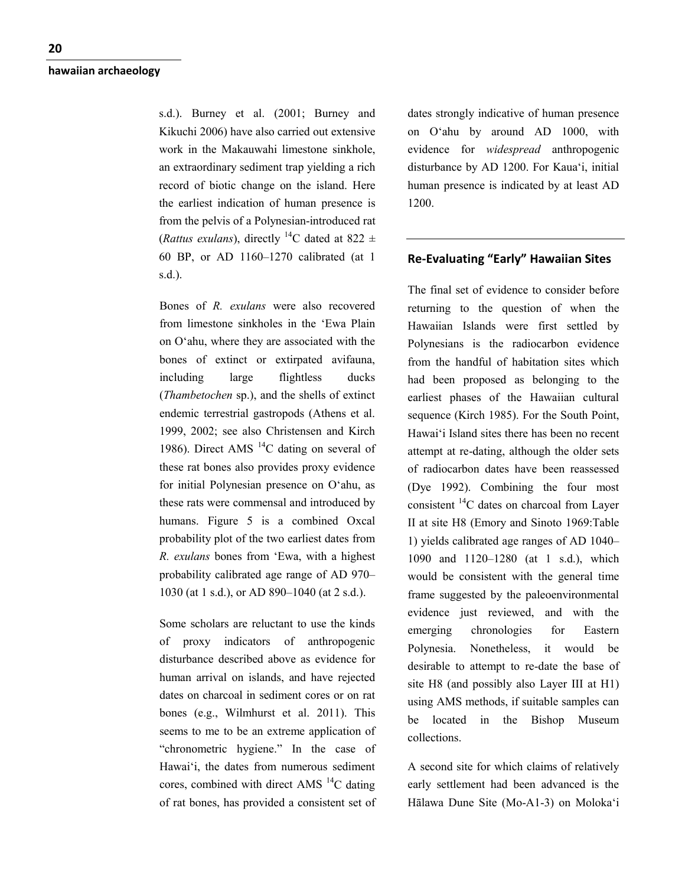s.d.). Burney et al. (2001; Burney and Kikuchi 2006) have also carried out extensive work in the Makauwahi limestone sinkhole, an extraordinary sediment trap yielding a rich record of biotic change on the island. Here the earliest indication of human presence is from the pelvis of a Polynesian-introduced rat (*Rattus exulans*), directly <sup>14</sup>C dated at 822  $\pm$ 60 BP, or AD 1160–1270 calibrated (at 1 s.d.).

Bones of *R. exulans* were also recovered from limestone sinkholes in the 'Ewa Plain on O'ahu, where they are associated with the bones of extinct or extirpated avifauna, including large flightless ducks (*Thambetochen* sp.), and the shells of extinct endemic terrestrial gastropods (Athens et al. 1999, 2002; see also Christensen and Kirch 1986). Direct AMS  $^{14}$ C dating on several of these rat bones also provides proxy evidence for initial Polynesian presence on O'ahu, as these rats were commensal and introduced by humans. Figure 5 is a combined Oxcal probability plot of the two earliest dates from *R. exulans* bones from 'Ewa, with a highest probability calibrated age range of AD 970– 1030 (at 1 s.d.), or AD 890–1040 (at 2 s.d.).

Some scholars are reluctant to use the kinds of proxy indicators of anthropogenic disturbance described above as evidence for human arrival on islands, and have rejected dates on charcoal in sediment cores or on rat bones (e.g., Wilmhurst et al. 2011). This seems to me to be an extreme application of "chronometric hygiene." In the case of Hawai'i, the dates from numerous sediment cores, combined with direct AMS  $^{14}$ C dating of rat bones, has provided a consistent set of

dates strongly indicative of human presence on O'ahu by around AD 1000, with evidence for *widespread* anthropogenic disturbance by AD 1200. For Kaua'i, initial human presence is indicated by at least AD 1200.

## **Re-Evaluating "Early" Hawaiian Sites**

The final set of evidence to consider before returning to the question of when the Hawaiian Islands were first settled by Polynesians is the radiocarbon evidence from the handful of habitation sites which had been proposed as belonging to the earliest phases of the Hawaiian cultural sequence (Kirch 1985). For the South Point, Hawai'i Island sites there has been no recent attempt at re-dating, although the older sets of radiocarbon dates have been reassessed (Dye 1992). Combining the four most consistent 14C dates on charcoal from Layer II at site H8 (Emory and Sinoto 1969:Table 1) yields calibrated age ranges of AD 1040– 1090 and 1120–1280 (at 1 s.d.), which would be consistent with the general time frame suggested by the paleoenvironmental evidence just reviewed, and with the emerging chronologies for Eastern Polynesia. Nonetheless, it would be desirable to attempt to re-date the base of site H8 (and possibly also Layer III at H1) using AMS methods, if suitable samples can be located in the Bishop Museum collections.

A second site for which claims of relatively early settlement had been advanced is the Hālawa Dune Site (Mo-A1-3) on Moloka'i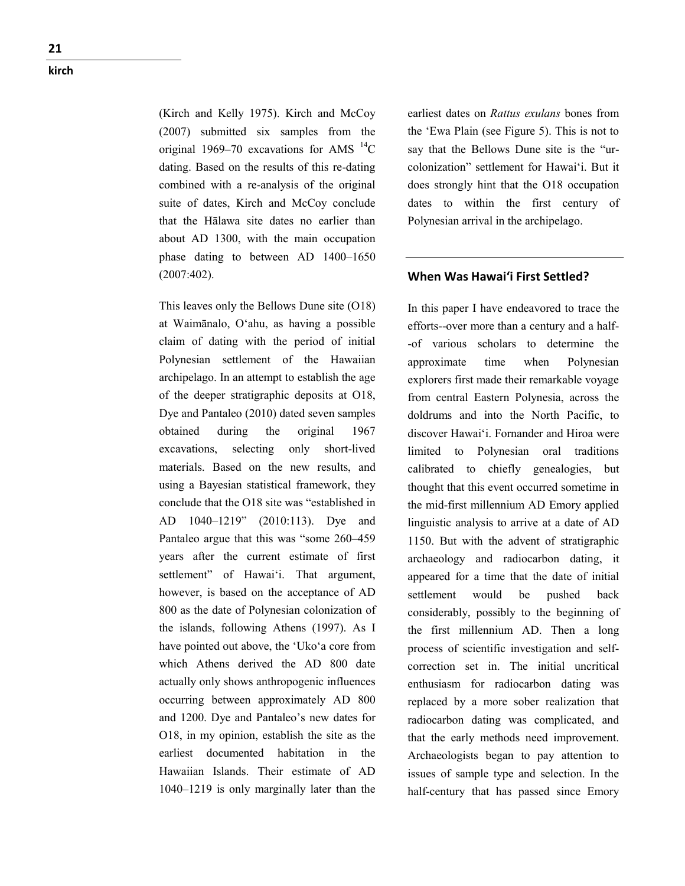**21 kirch**

> (Kirch and Kelly 1975). Kirch and McCoy (2007) submitted six samples from the original 1969–70 excavations for AMS  $^{14}$ C dating. Based on the results of this re-dating combined with a re-analysis of the original suite of dates, Kirch and McCoy conclude that the Hālawa site dates no earlier than about AD 1300, with the main occupation phase dating to between AD 1400–1650 (2007:402).

This leaves only the Bellows Dune site (O18) at Waimānalo, O'ahu, as having a possible claim of dating with the period of initial Polynesian settlement of the Hawaiian archipelago. In an attempt to establish the age of the deeper stratigraphic deposits at O18, Dye and Pantaleo (2010) dated seven samples obtained during the original 1967 excavations, selecting only short-lived materials. Based on the new results, and using a Bayesian statistical framework, they conclude that the O18 site was "established in AD 1040–1219" (2010:113). Dye and Pantaleo argue that this was "some 260–459 years after the current estimate of first settlement" of Hawai'i. That argument, however, is based on the acceptance of AD 800 as the date of Polynesian colonization of the islands, following Athens (1997). As I have pointed out above, the 'Uko'a core from which Athens derived the AD 800 date actually only shows anthropogenic influences occurring between approximately AD 800 and 1200. Dye and Pantaleo's new dates for O18, in my opinion, establish the site as the earliest documented habitation in the Hawaiian Islands. Their estimate of AD 1040–1219 is only marginally later than the

earliest dates on *Rattus exulans* bones from the 'Ewa Plain (see Figure 5). This is not to say that the Bellows Dune site is the "urcolonization" settlement for Hawai'i. But it does strongly hint that the O18 occupation dates to within the first century of Polynesian arrival in the archipelago.

## **When Was Hawai'i First Settled?**

In this paper I have endeavored to trace the efforts--over more than a century and a half- -of various scholars to determine the approximate time when Polynesian explorers first made their remarkable voyage from central Eastern Polynesia, across the doldrums and into the North Pacific, to discover Hawai'i. Fornander and Hiroa were limited to Polynesian oral traditions calibrated to chiefly genealogies, but thought that this event occurred sometime in the mid-first millennium AD Emory applied linguistic analysis to arrive at a date of AD 1150. But with the advent of stratigraphic archaeology and radiocarbon dating, it appeared for a time that the date of initial settlement would be pushed back considerably, possibly to the beginning of the first millennium AD. Then a long process of scientific investigation and selfcorrection set in. The initial uncritical enthusiasm for radiocarbon dating was replaced by a more sober realization that radiocarbon dating was complicated, and that the early methods need improvement. Archaeologists began to pay attention to issues of sample type and selection. In the half-century that has passed since Emory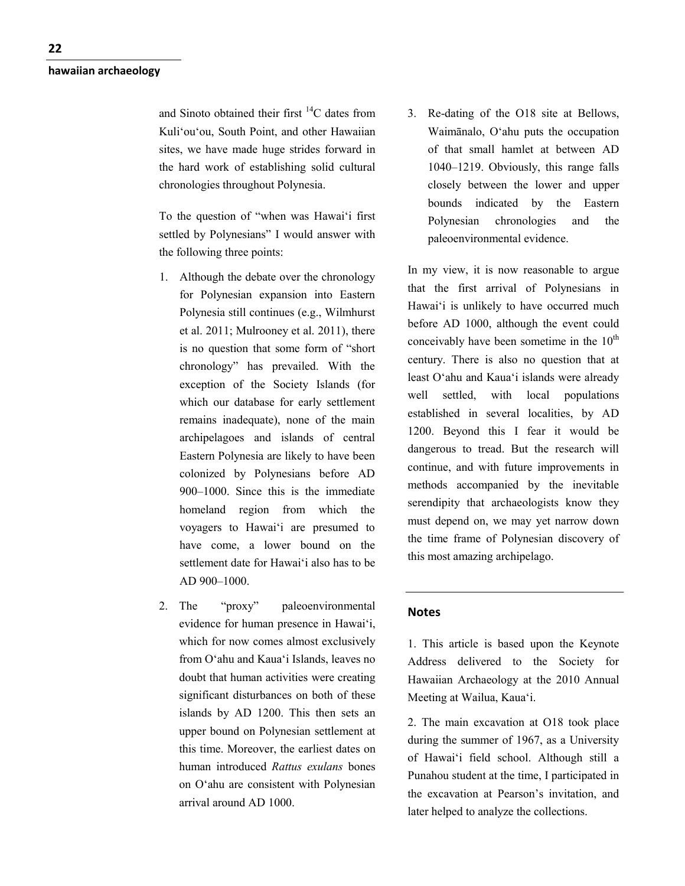and Sinoto obtained their first  $^{14}$ C dates from Kuli'ou'ou, South Point, and other Hawaiian sites, we have made huge strides forward in the hard work of establishing solid cultural chronologies throughout Polynesia.

To the question of "when was Hawai'i first settled by Polynesians" I would answer with the following three points:

- 1. Although the debate over the chronology for Polynesian expansion into Eastern Polynesia still continues (e.g., Wilmhurst et al. 2011; Mulrooney et al. 2011), there is no question that some form of "short chronology" has prevailed. With the exception of the Society Islands (for which our database for early settlement remains inadequate), none of the main archipelagoes and islands of central Eastern Polynesia are likely to have been colonized by Polynesians before AD 900–1000. Since this is the immediate homeland region from which the voyagers to Hawai'i are presumed to have come, a lower bound on the settlement date for Hawai'i also has to be AD 900–1000.
- 2. The "proxy" paleoenvironmental evidence for human presence in Hawai'i, which for now comes almost exclusively from O'ahu and Kaua'i Islands, leaves no doubt that human activities were creating significant disturbances on both of these islands by AD 1200. This then sets an upper bound on Polynesian settlement at this time. Moreover, the earliest dates on human introduced *Rattus exulans* bones on O'ahu are consistent with Polynesian arrival around AD 1000.

3. Re-dating of the O18 site at Bellows, Waimānalo, O'ahu puts the occupation of that small hamlet at between AD 1040–1219. Obviously, this range falls closely between the lower and upper bounds indicated by the Eastern Polynesian chronologies and the paleoenvironmental evidence.

In my view, it is now reasonable to argue that the first arrival of Polynesians in Hawai'i is unlikely to have occurred much before AD 1000, although the event could conceivably have been sometime in the  $10^{th}$ century. There is also no question that at least O'ahu and Kaua'i islands were already well settled, with local populations established in several localities, by AD 1200. Beyond this I fear it would be dangerous to tread. But the research will continue, and with future improvements in methods accompanied by the inevitable serendipity that archaeologists know they must depend on, we may yet narrow down the time frame of Polynesian discovery of this most amazing archipelago.

### **Notes**

1. This article is based upon the Keynote Address delivered to the Society for Hawaiian Archaeology at the 2010 Annual Meeting at Wailua, Kaua'i.

2. The main excavation at O18 took place during the summer of 1967, as a University of Hawai'i field school. Although still a Punahou student at the time, I participated in the excavation at Pearson's invitation, and later helped to analyze the collections.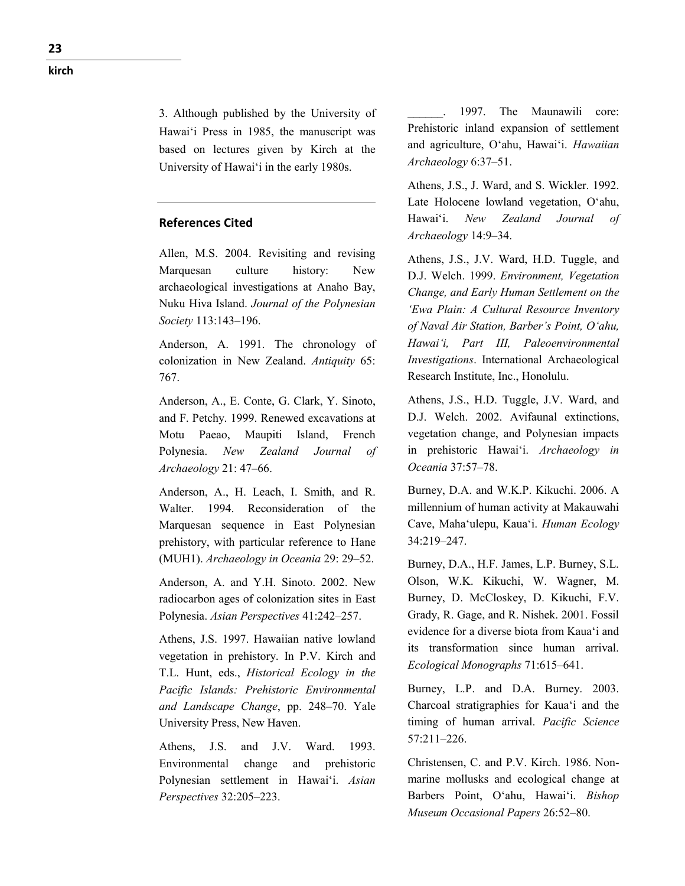3. Although published by the University of Hawai'i Press in 1985, the manuscript was based on lectures given by Kirch at the University of Hawai'i in the early 1980s.

## **References Cited**

Allen, M.S. 2004. Revisiting and revising Marquesan culture history: New archaeological investigations at Anaho Bay, Nuku Hiva Island. *Journal of the Polynesian Society* 113:143–196.

Anderson, A. 1991. The chronology of colonization in New Zealand. *Antiquity* 65: 767.

Anderson, A., E. Conte, G. Clark, Y. Sinoto, and F. Petchy. 1999. Renewed excavations at Motu Paeao, Maupiti Island, French Polynesia. *New Zealand Journal of Archaeology* 21: 47–66.

Anderson, A., H. Leach, I. Smith, and R. Walter. 1994. Reconsideration of the Marquesan sequence in East Polynesian prehistory, with particular reference to Hane (MUH1). *Archaeology in Oceania* 29: 29–52.

Anderson, A. and Y.H. Sinoto. 2002. New radiocarbon ages of colonization sites in East Polynesia. *Asian Perspectives* 41:242–257.

Athens, J.S. 1997. Hawaiian native lowland vegetation in prehistory. In P.V. Kirch and T.L. Hunt, eds., *Historical Ecology in the Pacific Islands: Prehistoric Environmental and Landscape Change*, pp. 248–70. Yale University Press, New Haven.

Athens, J.S. and J.V. Ward. 1993. Environmental change and prehistoric Polynesian settlement in Hawai'i. *Asian Perspectives* 32:205–223.

1997. The Maunawili core: Prehistoric inland expansion of settlement and agriculture, O'ahu, Hawai'i. *Hawaiian Archaeology* 6:37–51.

Athens, J.S., J. Ward, and S. Wickler. 1992. Late Holocene lowland vegetation, O'ahu, Hawai'i. *New Zealand Journal of Archaeology* 14:9–34.

Athens, J.S., J.V. Ward, H.D. Tuggle, and D.J. Welch. 1999. *Environment, Vegetation Change, and Early Human Settlement on the 'Ewa Plain: A Cultural Resource Inventory of Naval Air Station, Barber's Point, O'ahu, Hawai'i, Part III, Paleoenvironmental Investigations*. International Archaeological Research Institute, Inc., Honolulu.

Athens, J.S., H.D. Tuggle, J.V. Ward, and D.J. Welch. 2002. Avifaunal extinctions, vegetation change, and Polynesian impacts in prehistoric Hawai'i. *Archaeology in Oceania* 37:57–78.

Burney, D.A. and W.K.P. Kikuchi. 2006. A millennium of human activity at Makauwahi Cave, Maha'ulepu, Kaua'i. *Human Ecology* 34:219–247.

Burney, D.A., H.F. James, L.P. Burney, S.L. Olson, W.K. Kikuchi, W. Wagner, M. Burney, D. McCloskey, D. Kikuchi, F.V. Grady, R. Gage, and R. Nishek. 2001. Fossil evidence for a diverse biota from Kaua'i and its transformation since human arrival. *Ecological Monographs* 71:615–641.

Burney, L.P. and D.A. Burney. 2003. Charcoal stratigraphies for Kaua'i and the timing of human arrival. *Pacific Science* 57:211–226.

Christensen, C. and P.V. Kirch. 1986. Nonmarine mollusks and ecological change at Barbers Point, O'ahu, Hawai'i. *Bishop Museum Occasional Papers* 26:52–80.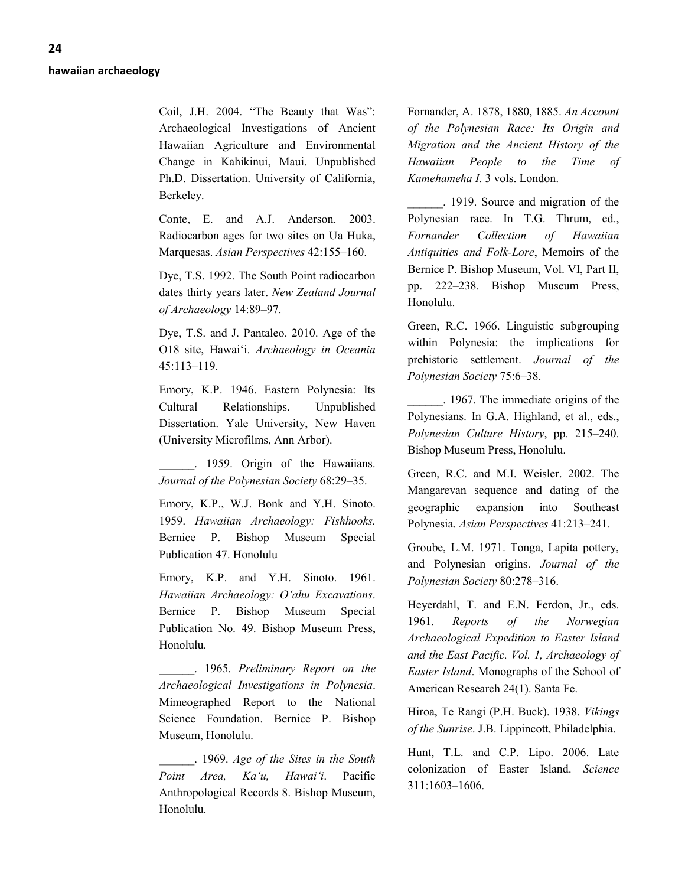Coil, J.H. 2004. "The Beauty that Was": Archaeological Investigations of Ancient Hawaiian Agriculture and Environmental Change in Kahikinui, Maui. Unpublished Ph.D. Dissertation. University of California, Berkeley.

Conte, E. and A.J. Anderson. 2003. Radiocarbon ages for two sites on Ua Huka, Marquesas. *Asian Perspectives* 42:155–160.

Dye, T.S. 1992. The South Point radiocarbon dates thirty years later. *New Zealand Journal of Archaeology* 14:89–97.

Dye, T.S. and J. Pantaleo. 2010. Age of the O18 site, Hawai'i. *Archaeology in Oceania* 45:113–119.

Emory, K.P. 1946. Eastern Polynesia: Its Cultural Relationships. Unpublished Dissertation. Yale University, New Haven (University Microfilms, Ann Arbor).

\_\_\_\_\_\_. 1959. Origin of the Hawaiians. *Journal of the Polynesian Society* 68:29–35.

Emory, K.P., W.J. Bonk and Y.H. Sinoto. 1959. *Hawaiian Archaeology: Fishhooks.* Bernice P. Bishop Museum Special Publication 47. Honolulu

Emory, K.P. and Y.H. Sinoto. 1961. *Hawaiian Archaeology: O'ahu Excavations*. Bernice P. Bishop Museum Special Publication No. 49. Bishop Museum Press, Honolulu.

\_\_\_\_\_\_. 1965. *Preliminary Report on the Archaeological Investigations in Polynesia*. Mimeographed Report to the National Science Foundation. Bernice P. Bishop Museum, Honolulu.

\_\_\_\_\_\_. 1969. *Age of the Sites in the South Point Area, Ka'u, Hawai'i*. Pacific Anthropological Records 8. Bishop Museum, Honolulu.

Fornander, A. 1878, 1880, 1885. *An Account of the Polynesian Race: Its Origin and Migration and the Ancient History of the Hawaiian People to the Time of Kamehameha I*. 3 vols. London.

\_\_\_\_\_\_. 1919. Source and migration of the Polynesian race. In T.G. Thrum, ed., *Fornander Collection of Hawaiian Antiquities and Folk-Lore*, Memoirs of the Bernice P. Bishop Museum, Vol. VI, Part II, pp. 222–238. Bishop Museum Press, Honolulu.

Green, R.C. 1966. Linguistic subgrouping within Polynesia: the implications for prehistoric settlement. *Journal of the Polynesian Society* 75:6–38.

\_\_\_\_\_\_. 1967. The immediate origins of the Polynesians. In G.A. Highland, et al., eds., *Polynesian Culture History*, pp. 215–240. Bishop Museum Press, Honolulu.

Green, R.C. and M.I. Weisler. 2002. The Mangarevan sequence and dating of the geographic expansion into Southeast Polynesia. *Asian Perspectives* 41:213–241.

Groube, L.M. 1971. Tonga, Lapita pottery, and Polynesian origins. *Journal of the Polynesian Society* 80:278–316.

Heyerdahl, T. and E.N. Ferdon, Jr., eds. 1961. *Reports of the Norwegian Archaeological Expedition to Easter Island and the East Pacific. Vol. 1, Archaeology of Easter Island*. Monographs of the School of American Research 24(1). Santa Fe.

Hiroa, Te Rangi (P.H. Buck). 1938. *Vikings of the Sunrise*. J.B. Lippincott, Philadelphia.

Hunt, T.L. and C.P. Lipo. 2006. Late colonization of Easter Island. *Science* 311:1603–1606.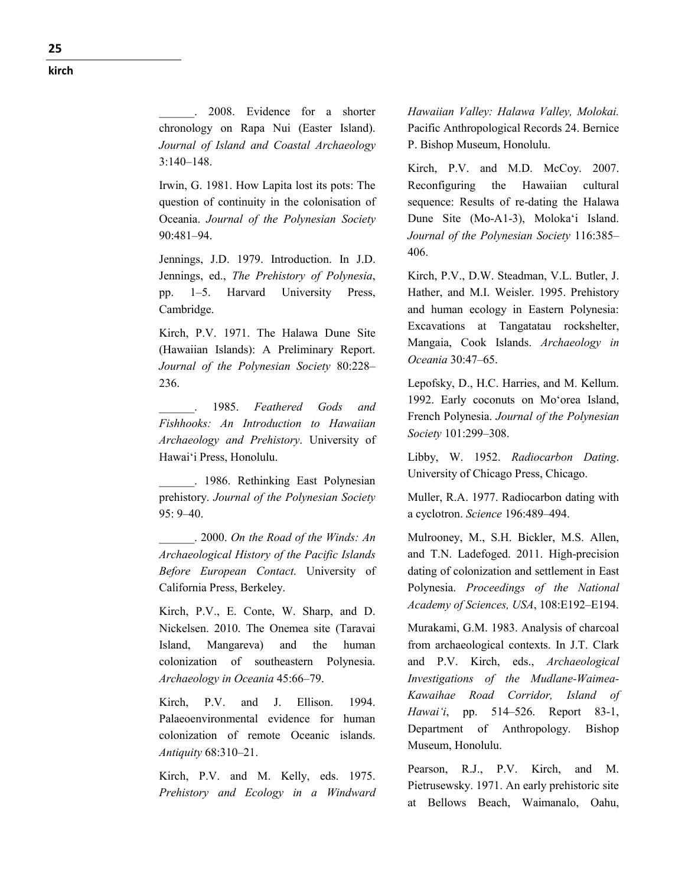**kirch**

\_\_\_\_\_\_. 2008. Evidence for a shorter chronology on Rapa Nui (Easter Island). *Journal of Island and Coastal Archaeology* 3:140–148.

Irwin, G. 1981. How Lapita lost its pots: The question of continuity in the colonisation of Oceania. *Journal of the Polynesian Society* 90:481–94.

Jennings, J.D. 1979. Introduction. In J.D. Jennings, ed., *The Prehistory of Polynesia*, pp. 1–5. Harvard University Press, Cambridge.

Kirch, P.V. 1971. The Halawa Dune Site (Hawaiian Islands): A Preliminary Report. *Journal of the Polynesian Society* 80:228– 236.

\_\_\_\_\_\_. 1985. *Feathered Gods and Fishhooks: An Introduction to Hawaiian Archaeology and Prehistory*. University of Hawai'i Press, Honolulu.

\_\_\_\_\_\_. 1986. Rethinking East Polynesian prehistory. *Journal of the Polynesian Society*  $95: 9 - 40.$ 

\_\_\_\_\_\_. 2000. *On the Road of the Winds: An Archaeological History of the Pacific Islands Before European Contact*. University of California Press, Berkeley.

Kirch, P.V., E. Conte, W. Sharp, and D. Nickelsen. 2010. The Onemea site (Taravai Island, Mangareva) and the human colonization of southeastern Polynesia. *Archaeology in Oceania* 45:66–79.

Kirch, P.V. and J. Ellison. 1994. Palaeoenvironmental evidence for human colonization of remote Oceanic islands. *Antiquity* 68:310–21.

Kirch, P.V. and M. Kelly, eds. 1975. *Prehistory and Ecology in a Windward*  *Hawaiian Valley: Halawa Valley, Molokai.* Pacific Anthropological Records 24. Bernice P. Bishop Museum, Honolulu.

Kirch, P.V. and M.D. McCoy. 2007. Reconfiguring the Hawaiian cultural sequence: Results of re-dating the Halawa Dune Site (Mo-A1-3), Moloka'i Island. *Journal of the Polynesian Society* 116:385– 406.

Kirch, P.V., D.W. Steadman, V.L. Butler, J. Hather, and M.I. Weisler. 1995. Prehistory and human ecology in Eastern Polynesia: Excavations at Tangatatau rockshelter, Mangaia, Cook Islands. *Archaeology in Oceania* 30:47–65.

Lepofsky, D., H.C. Harries, and M. Kellum. 1992. Early coconuts on Mo'orea Island, French Polynesia. *Journal of the Polynesian Society* 101:299–308.

Libby, W. 1952. *Radiocarbon Dating*. University of Chicago Press, Chicago.

Muller, R.A. 1977. Radiocarbon dating with a cyclotron. *Science* 196:489–494.

Mulrooney, M., S.H. Bickler, M.S. Allen, and T.N. Ladefoged. 2011. High-precision dating of colonization and settlement in East Polynesia. *Proceedings of the National Academy of Sciences, USA*, 108:E192–E194.

Murakami, G.M. 1983. Analysis of charcoal from archaeological contexts. In J.T. Clark and P.V. Kirch, eds., *Archaeological Investigations of the Mudlane-Waimea-Kawaihae Road Corridor, Island of Hawai'i*, pp. 514–526. Report 83-1, Department of Anthropology. Bishop Museum, Honolulu.

Pearson, R.J., P.V. Kirch, and M. Pietrusewsky. 1971. An early prehistoric site at Bellows Beach, Waimanalo, Oahu,